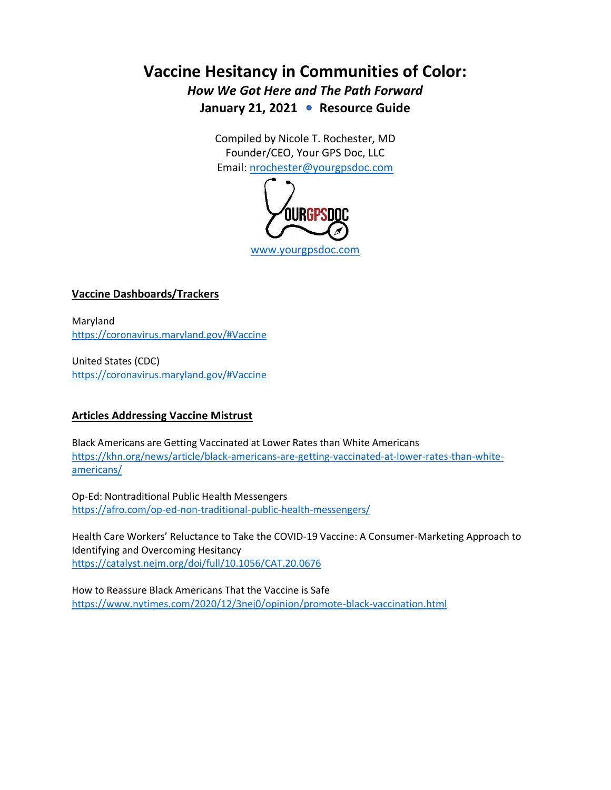# **Vaccine Hesitancy in Communities of Color:**

*How We Got Here and The Path Forward* January 21, 2021 • Resource Guide

> Compiled by Nicole T. Rochester, MD Founder/CEO, Your GPS Doc, LLC Email: [nrochester@yourgpsdoc.com](mailto:nrochester@yourgpsdoc.com)



## **Vaccine Dashboards/Trackers**

Maryland <https://coronavirus.maryland.gov/#Vaccine>

United States (CDC) <https://coronavirus.maryland.gov/#Vaccine>

## **Articles Addressing Vaccine Mistrust**

Black Americans are Getting Vaccinated at Lower Rates than White Americans [https://khn.org/news/article/black-americans-are-getting-vaccinated-at-lower-rates-than-white](https://khn.org/news/article/black-americans-are-getting-vaccinated-at-lower-rates-than-white-americans/)[americans/](https://khn.org/news/article/black-americans-are-getting-vaccinated-at-lower-rates-than-white-americans/)

Op-Ed: Nontraditional Public Health Messengers <https://afro.com/op-ed-non-traditional-public-health-messengers/>

Health Care Workers' Reluctance to Take the COVID-19 Vaccine: A Consumer-Marketing Approach to Identifying and Overcoming Hesitancy <https://catalyst.nejm.org/doi/full/10.1056/CAT.20.0676>

How to Reassure Black Americans That the Vaccine is Safe <https://www.nytimes.com/2020/12/3nej0/opinion/promote-black-vaccination.html>